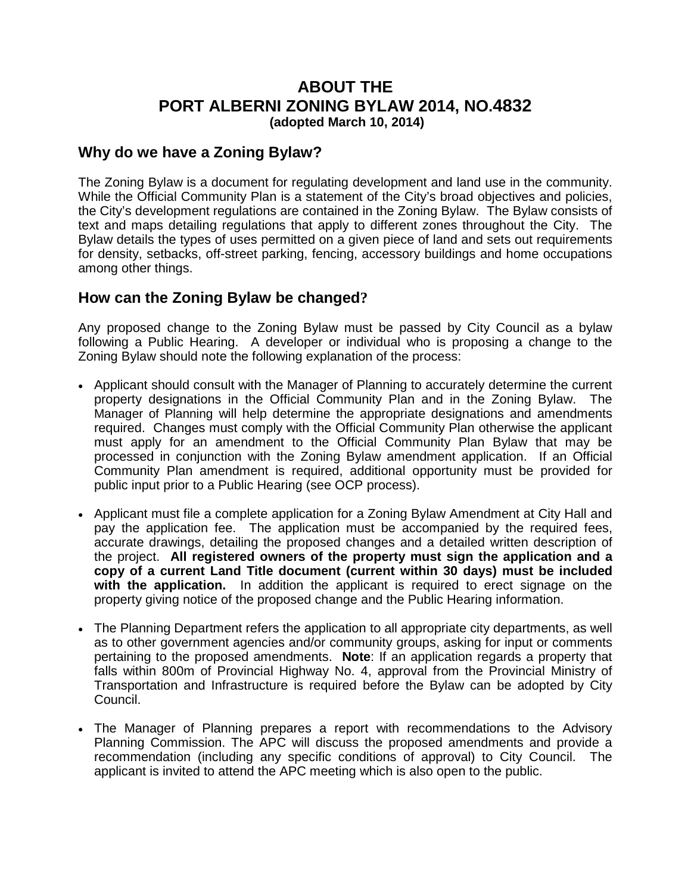## **ABOUT THE PORT ALBERNI ZONING BYLAW 2014, NO.4832 (adopted March 10, 2014)**

## **Why do we have a Zoning Bylaw?**

The Zoning Bylaw is a document for regulating development and land use in the community. While the Official Community Plan is a statement of the City's broad objectives and policies, the City's development regulations are contained in the Zoning Bylaw. The Bylaw consists of text and maps detailing regulations that apply to different zones throughout the City. The Bylaw details the types of uses permitted on a given piece of land and sets out requirements for density, setbacks, off-street parking, fencing, accessory buildings and home occupations among other things.

## **How can the Zoning Bylaw be changed?**

Any proposed change to the Zoning Bylaw must be passed by City Council as a bylaw following a Public Hearing. A developer or individual who is proposing a change to the Zoning Bylaw should note the following explanation of the process:

- Applicant should consult with the Manager of Planning to accurately determine the current property designations in the Official Community Plan and in the Zoning Bylaw. The Manager of Planning will help determine the appropriate designations and amendments required. Changes must comply with the Official Community Plan otherwise the applicant must apply for an amendment to the Official Community Plan Bylaw that may be processed in conjunction with the Zoning Bylaw amendment application. If an Official Community Plan amendment is required, additional opportunity must be provided for public input prior to a Public Hearing (see OCP process).
- Applicant must file a complete application for a Zoning Bylaw Amendment at City Hall and pay the application fee. The application must be accompanied by the required fees, accurate drawings, detailing the proposed changes and a detailed written description of the project. **All registered owners of the property must sign the application and a copy of a current Land Title document (current within 30 days) must be included with the application.** In addition the applicant is required to erect signage on the property giving notice of the proposed change and the Public Hearing information.
- The Planning Department refers the application to all appropriate city departments, as well as to other government agencies and/or community groups, asking for input or comments pertaining to the proposed amendments. **Note**: If an application regards a property that falls within 800m of Provincial Highway No. 4, approval from the Provincial Ministry of Transportation and Infrastructure is required before the Bylaw can be adopted by City Council.
- The Manager of Planning prepares a report with recommendations to the Advisory Planning Commission. The APC will discuss the proposed amendments and provide a recommendation (including any specific conditions of approval) to City Council. The applicant is invited to attend the APC meeting which is also open to the public.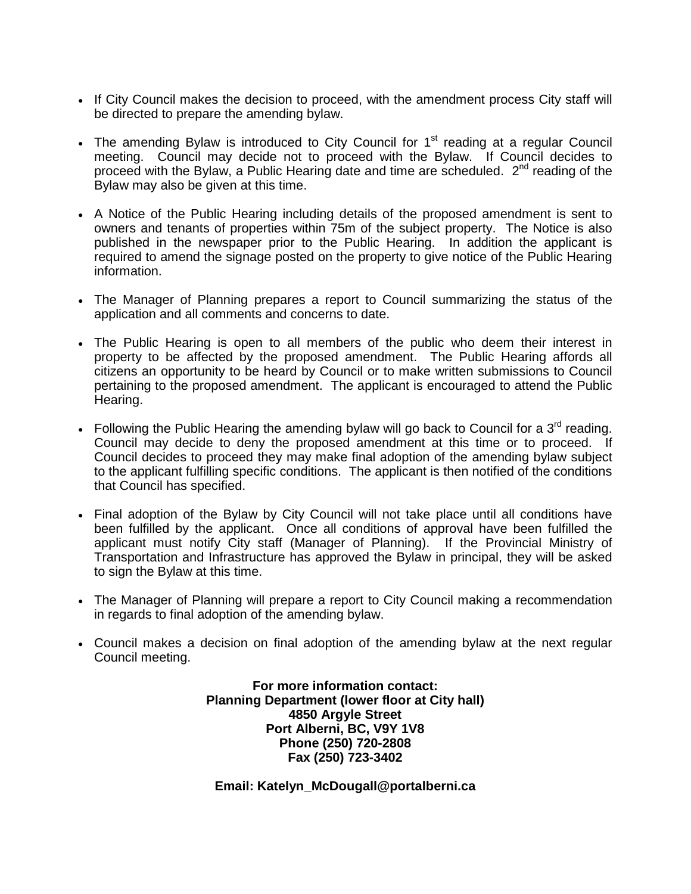- If City Council makes the decision to proceed, with the amendment process City staff will be directed to prepare the amending bylaw.
- The amending Bylaw is introduced to City Council for  $1<sup>st</sup>$  reading at a regular Council meeting. Council may decide not to proceed with the Bylaw. If Council decides to proceed with the Bylaw, a Public Hearing date and time are scheduled.  $2^{nd}$  reading of the Bylaw may also be given at this time.
- A Notice of the Public Hearing including details of the proposed amendment is sent to owners and tenants of properties within 75m of the subject property. The Notice is also published in the newspaper prior to the Public Hearing. In addition the applicant is required to amend the signage posted on the property to give notice of the Public Hearing information.
- The Manager of Planning prepares a report to Council summarizing the status of the application and all comments and concerns to date.
- The Public Hearing is open to all members of the public who deem their interest in property to be affected by the proposed amendment. The Public Hearing affords all citizens an opportunity to be heard by Council or to make written submissions to Council pertaining to the proposed amendment. The applicant is encouraged to attend the Public Hearing.
- Following the Public Hearing the amending bylaw will go back to Council for a  $3<sup>rd</sup>$  reading. Council may decide to deny the proposed amendment at this time or to proceed. If Council decides to proceed they may make final adoption of the amending bylaw subject to the applicant fulfilling specific conditions. The applicant is then notified of the conditions that Council has specified.
- Final adoption of the Bylaw by City Council will not take place until all conditions have been fulfilled by the applicant. Once all conditions of approval have been fulfilled the applicant must notify City staff (Manager of Planning). If the Provincial Ministry of Transportation and Infrastructure has approved the Bylaw in principal, they will be asked to sign the Bylaw at this time.
- The Manager of Planning will prepare a report to City Council making a recommendation in regards to final adoption of the amending bylaw.
- Council makes a decision on final adoption of the amending bylaw at the next regular Council meeting.

**For more information contact: Planning Department (lower floor at City hall) 4850 Argyle Street Port Alberni, BC, V9Y 1V8 Phone (250) 720-2808 Fax (250) 723-3402**

**Email: Katelyn\_McDougall@portalberni.ca**